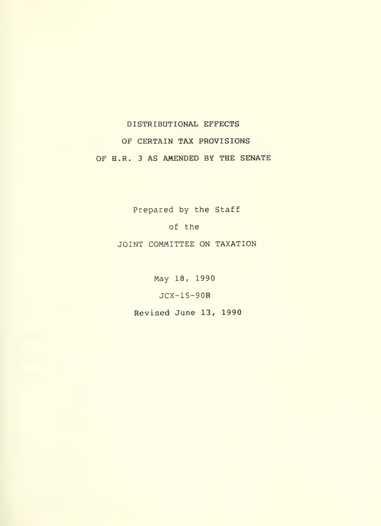## DISTRIBUTIONAL EFFECTS

# OF CERTAIN TAX PROVISIONS OF H.R. <sup>3</sup> AS AMENDED BY THE SENATE

Prepared by the Staff

of the

JOINT COMMITTEE ON TAXATION

May 18, 1990

JCX-15-90R

Revised June 13, 1990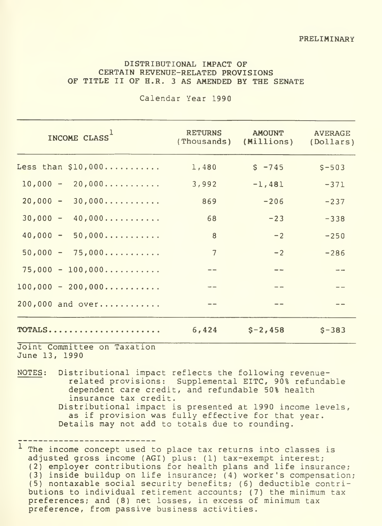#### DISTRIBUTIONAL IMPACT OF CERTAIN REVENUE-RELATED PROVISIONS OF TITLE II OF H.R. <sup>3</sup> AS AMENDED BY THE SENATE

| INCOME CLASS                | <b>RETURNS</b><br>(Thousands) | <b>AMOUNT</b><br>(Millions) | <b>AVERAGE</b><br>(Dollars) |
|-----------------------------|-------------------------------|-----------------------------|-----------------------------|
| Less than $$10,000$         | 1,480                         | $S - 745$                   | $S - 503$                   |
| $10,000 - 20,000$           | 3,992                         | $-1,481$                    | $-371$                      |
| $20,000 - 30,000$           | 869                           | $-206$                      | $-237$                      |
| $30,000 - 40,000$           | 68                            | $-23$                       | $-338$                      |
| $40,000 - 50,000$           | 8                             | $-2$                        | $-250$                      |
| $50,000 - 75,000$           | $\overline{7}$                | $-2$                        | $-286$                      |
| $75,000 - 100,000$          |                               | $-$                         |                             |
| $100,000 - 200,000$         | $\rightarrow$ $-$             | $- -$                       |                             |
| 200,000 and over            |                               |                             |                             |
| TOTALS                      | 6,424                         | $S - 2,458$                 | $S - 383$                   |
| Joint Committee on Taxation |                               |                             |                             |

Calendar Year 1990

June 13, 1990

NOTES: Distributional impact reflects the following revenuerelated provisions: Supplemental EITC, 90% refundable dependent care credit, and refundable 50% health insurance tax credit. Distributional impact is presented at 1990 income levels, as if provision was fully effective for that year. Details may not add to totals due to rounding.

The income concept used to place tax returns into classes is adjusted gross income (AGI) plus: (1) tax-exempt interest; (2) employer contributions for health plans and life insurance; (3) inside buildup on life insurance; (4) worker's compensation; (5) nontaxable social security benefits; (6) deductible contributions to individual retirement accounts; (7) the minimum tax preferences; and (8) net losses, in excess of minimum tax preference, from passive business activities.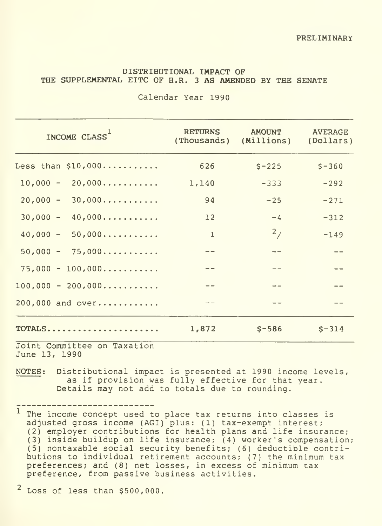### DISTRIBDTIONAL IMPACT OF THE SUPPLEMENTAL EITC OF H.R. <sup>3</sup> AS AMENDED BY THE SENATE

| INCOME CLASS <sup>1</sup>                                         | <b>RETURNS</b><br>(Thousands) | <b>AMOUNT</b><br>(Millions) | <b>AVERAGE</b><br>(Dollars) |
|-------------------------------------------------------------------|-------------------------------|-----------------------------|-----------------------------|
| Less than $$10,000$                                               | 626                           | $S - 225$                   | $S - 360$                   |
| $10,000 - 20,000$                                                 | 1,140                         | $-333$                      | $-292$                      |
| $20,000 - 30,000$                                                 | 94                            | $-25$                       | $-271$                      |
| $30,000 - 40,000$                                                 | 12                            | $-4$                        | $-312$                      |
| $40,000 - 50,000$                                                 | $\mathbf{1}$                  | 2/                          | $-149$                      |
| $50,000 - 75,000$                                                 | $ -$                          |                             | $-$                         |
| $75,000 - 100,000$                                                | $- -$                         |                             | $- -$                       |
| $100,000 - 200,000$                                               |                               |                             |                             |
| 200,000 and over                                                  |                               |                             |                             |
| $\texttt{TOTALS} \dots \dots \dots \dots \dots \dots \dots \dots$ | 1,872                         | $S-586$                     | $S - 314$                   |
| Joint Committee on Tavation                                       |                               |                             |                             |

Calendar Year 1990

Joint Committee on Tax June 13, 1990

NOTES: Distributional impact is presented at 1990 income levels, as if provision was fully effective for that year. Details may not add to totals due to rounding.

The income concept used to place tax returns into classes is adjusted gross income (AGI) plus: (1) tax-exempt interest;<br>(2) employer contributions for health plans and life insurance; (3) inside buildup on life insurance; (4) worker's compensation; (5) nontaxable social security benefits; (6) deductible contributions to individual retirement accounts; (7) the minimum tax preferences; and (8) net losses, in excess of minimum tax preference, from passive business activities.

 $2$  Loss of less than \$500,000.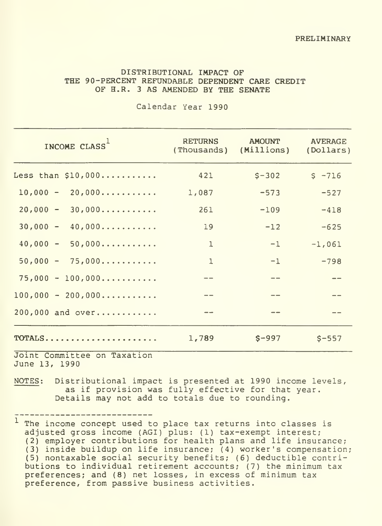#### DISTRIBOTIONAL IMPACT OF THE 90-PERCENT REFUNDABLE DEPENDENT CARE CREDIT OF H.R. <sup>3</sup> AS AMENDED BY THE SENATE

Calendar Year 1990

| INCOME CLASS                                                | <b>RETURNS</b> | <b>AMOUNT</b><br>(Thousands) (Millions) | <b>AVERAGE</b><br>(Dollars) |
|-------------------------------------------------------------|----------------|-----------------------------------------|-----------------------------|
| Less than $$10,000$                                         | 421            | $S - 302$                               | $S - 716$                   |
| $10,000 - 20,000$                                           | 1,087          | $-573$                                  | $-527$                      |
| $20,000 - 30,000$                                           | 261            | $-109$                                  | $-418$                      |
| $30,000 - 40,000$                                           | 19             | $-12$                                   | $-625$                      |
| $40,000 - 50,000$                                           | $\mathbf{1}$   | $-1$                                    | $-1,061$                    |
| $50,000 - 75,000$                                           | $\mathbf{1}$   | $-1$                                    | $-798$                      |
| $75,000 - 100,000$                                          | $- -$          | $- -$                                   | $- -$                       |
| $100,000 - 200,000$                                         |                |                                         |                             |
| 200,000 and over                                            |                |                                         |                             |
| $\texttt{TOTALS} \dots \dots \dots \dots \dots \dots \dots$ | 1,789          | $S - 997$                               | $$ - 557$                   |

Joint Committee on Taxation June 13, 1990

NOTES: Distributional impact is presented at 1990 income levels, as if provision was fully effective for that year. Details may not add to totals due to rounding.

<sup>1</sup> The income concept used to place tax returns into classes is adjusted gross income (AGI) plus: (1) tax-exempt interest; (2) employer contributions for health plans and life insurance;  $(3)$  inside buildup on life insurance;  $(4)$  worker's compensation; (5) nontaxable social security benefits; (6) deductible contributions to individual retirement accounts; (7) the minimum tax preferences; and (8) net losses, in excess of minimum tax preference, from passive business activities.